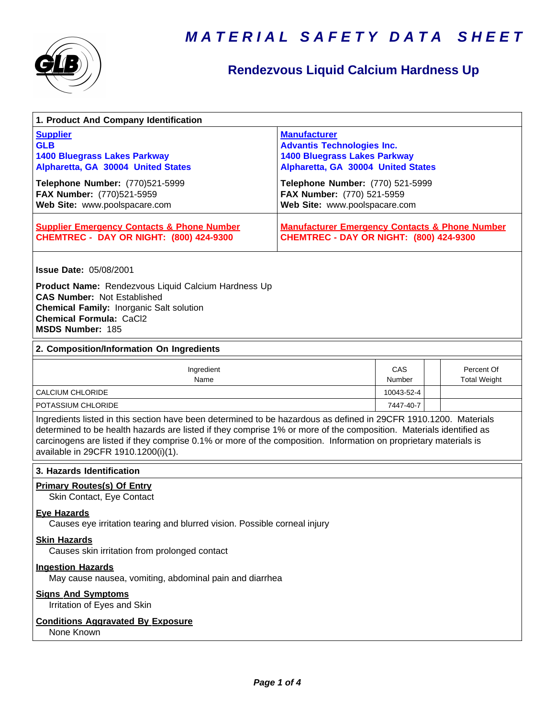

### **Rendezvous Liquid Calcium Hardness Up**

| <b>Supplier</b><br><b>Manufacturer</b><br><b>GLB</b><br><b>Advantis Technologies Inc.</b><br><b>1400 Bluegrass Lakes Parkway</b><br><b>1400 Bluegrass Lakes Parkway</b><br>Alpharetta, GA 30004 United States<br>Alpharetta, GA 30004 United States<br>Telephone Number: (770)521-5999<br>Telephone Number: (770) 521-5999<br>FAX Number: (770)521-5959<br>FAX Number: (770) 521-5959<br>Web Site: www.poolspacare.com<br>Web Site: www.poolspacare.com |  |  |
|---------------------------------------------------------------------------------------------------------------------------------------------------------------------------------------------------------------------------------------------------------------------------------------------------------------------------------------------------------------------------------------------------------------------------------------------------------|--|--|
|                                                                                                                                                                                                                                                                                                                                                                                                                                                         |  |  |
|                                                                                                                                                                                                                                                                                                                                                                                                                                                         |  |  |
| <b>Supplier Emergency Contacts &amp; Phone Number</b><br><b>Manufacturer Emergency Contacts &amp; Phone Number</b><br><b>CHEMTREC - DAY OR NIGHT: (800) 424-9300</b><br><b>CHEMTREC - DAY OR NIGHT: (800) 424-9300</b>                                                                                                                                                                                                                                  |  |  |
| <b>Issue Date: 05/08/2001</b>                                                                                                                                                                                                                                                                                                                                                                                                                           |  |  |
| <b>Product Name:</b> Rendezvous Liquid Calcium Hardness Up<br><b>CAS Number: Not Established</b><br><b>Chemical Family: Inorganic Salt solution</b><br><b>Chemical Formula: CaCl2</b><br>MSDS Number: 185                                                                                                                                                                                                                                               |  |  |
| 2. Composition/Information On Ingredients                                                                                                                                                                                                                                                                                                                                                                                                               |  |  |
| CAS<br>Percent Of<br>Ingredient<br>Name<br>Number<br><b>Total Weight</b>                                                                                                                                                                                                                                                                                                                                                                                |  |  |
| <b>CALCIUM CHLORIDE</b><br>10043-52-4                                                                                                                                                                                                                                                                                                                                                                                                                   |  |  |
| POTASSIUM CHLORIDE<br>7447-40-7                                                                                                                                                                                                                                                                                                                                                                                                                         |  |  |
| Ingredients listed in this section have been determined to be hazardous as defined in 29CFR 1910.1200. Materials<br>determined to be health hazards are listed if they comprise 1% or more of the composition. Materials identified as<br>carcinogens are listed if they comprise 0.1% or more of the composition. Information on proprietary materials is<br>available in 29CFR 1910.1200(i)(1).                                                       |  |  |
| 3. Hazards Identification                                                                                                                                                                                                                                                                                                                                                                                                                               |  |  |
| <b>Primary Routes(s) Of Entry</b><br>Skin Contact, Eye Contact                                                                                                                                                                                                                                                                                                                                                                                          |  |  |
| <b>Eye Hazards</b><br>Causes eye irritation tearing and blurred vision. Possible corneal injury                                                                                                                                                                                                                                                                                                                                                         |  |  |
| <b>Skin Hazards</b><br>Causes skin irritation from prolonged contact                                                                                                                                                                                                                                                                                                                                                                                    |  |  |
| <b>Ingestion Hazards</b><br>May cause nausea, vomiting, abdominal pain and diarrhea                                                                                                                                                                                                                                                                                                                                                                     |  |  |
| <b>Signs And Symptoms</b><br>Irritation of Eyes and Skin                                                                                                                                                                                                                                                                                                                                                                                                |  |  |
| <b>Conditions Aggravated By Exposure</b><br>None Known                                                                                                                                                                                                                                                                                                                                                                                                  |  |  |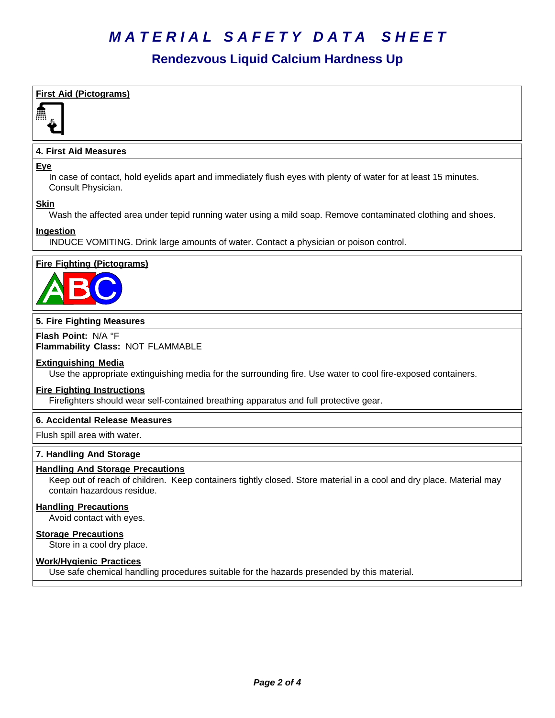#### **Rendezvous Liquid Calcium Hardness Up**

| <b>First Aid (Pictograms)</b>                                                                                                                                                                |
|----------------------------------------------------------------------------------------------------------------------------------------------------------------------------------------------|
|                                                                                                                                                                                              |
| <b>4. First Aid Measures</b>                                                                                                                                                                 |
| <u>Eye</u><br>In case of contact, hold eyelids apart and immediately flush eyes with plenty of water for at least 15 minutes.<br>Consult Physician.                                          |
| <b>Skin</b><br>Wash the affected area under tepid running water using a mild soap. Remove contaminated clothing and shoes.                                                                   |
| <b>Ingestion</b><br>INDUCE VOMITING. Drink large amounts of water. Contact a physician or poison control.                                                                                    |
| <b>Fire Fighting (Pictograms)</b>                                                                                                                                                            |
| 5. Fire Fighting Measures                                                                                                                                                                    |
| Flash Point: N/A °F<br>Flammability Class: NOT FLAMMABLE                                                                                                                                     |
| <b>Extinguishing Media</b><br>Use the appropriate extinguishing media for the surrounding fire. Use water to cool fire-exposed containers.                                                   |
| <b>Fire Fighting Instructions</b><br>Firefighters should wear self-contained breathing apparatus and full protective gear.                                                                   |
| 6. Accidental Release Measures                                                                                                                                                               |
| Flush spill area with water.                                                                                                                                                                 |
| 7. Handling And Storage                                                                                                                                                                      |
| <b>Handling And Storage Precautions</b><br>Keep out of reach of children. Keep containers tightly closed. Store material in a cool and dry place. Material may<br>contain hazardous residue. |
| <b>Handling Precautions</b><br>Avoid contact with eyes.                                                                                                                                      |
| <b>Storage Precautions</b><br>Store in a cool dry place.                                                                                                                                     |
| <b>Work/Hygienic Practices</b><br>Use safe chemical handling procedures suitable for the hazards presended by this material.                                                                 |
|                                                                                                                                                                                              |
|                                                                                                                                                                                              |
|                                                                                                                                                                                              |
|                                                                                                                                                                                              |
|                                                                                                                                                                                              |
|                                                                                                                                                                                              |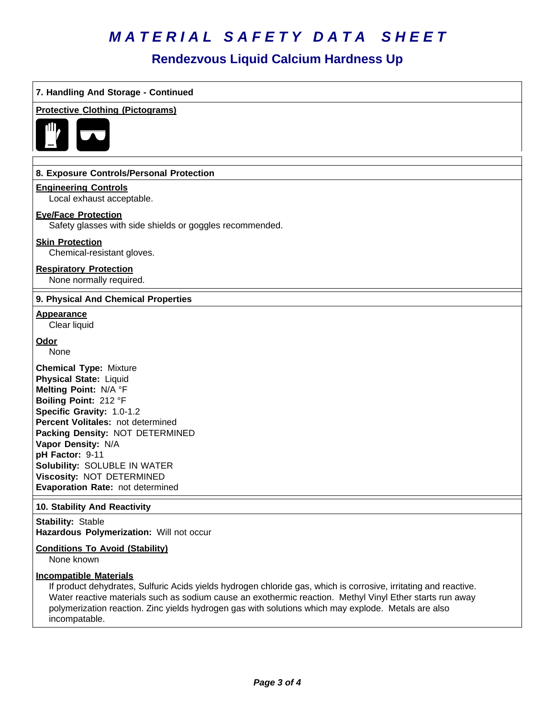#### **Rendezvous Liquid Calcium Hardness Up**

| 7. Handling And Storage - Continued                                                                                                                                                                                                                                                                                                                                  |
|----------------------------------------------------------------------------------------------------------------------------------------------------------------------------------------------------------------------------------------------------------------------------------------------------------------------------------------------------------------------|
| <b>Protective Clothing (Pictograms)</b>                                                                                                                                                                                                                                                                                                                              |
| 8. Exposure Controls/Personal Protection                                                                                                                                                                                                                                                                                                                             |
| <b>Engineering Controls</b><br>Local exhaust acceptable.                                                                                                                                                                                                                                                                                                             |
| <b>Eye/Face Protection</b><br>Safety glasses with side shields or goggles recommended.                                                                                                                                                                                                                                                                               |
| <b>Skin Protection</b><br>Chemical-resistant gloves.                                                                                                                                                                                                                                                                                                                 |
| <b>Respiratory Protection</b><br>None normally required.                                                                                                                                                                                                                                                                                                             |
| 9. Physical And Chemical Properties                                                                                                                                                                                                                                                                                                                                  |
| <b>Appearance</b><br>Clear liquid                                                                                                                                                                                                                                                                                                                                    |
| <u>Odor</u><br>None                                                                                                                                                                                                                                                                                                                                                  |
| <b>Chemical Type: Mixture</b><br><b>Physical State: Liquid</b><br>Melting Point: N/A °F<br>Boiling Point: 212 °F<br>Specific Gravity: 1.0-1.2<br>Percent Volitales: not determined<br>Packing Density: NOT DETERMINED<br>Vapor Density: N/A<br>pH Factor: 9-11<br>Solubility: SOLUBLE IN WATER<br>Viscosity: NOT DETERMINED<br>Evaporation Rate: not determined      |
| 10. Stability And Reactivity                                                                                                                                                                                                                                                                                                                                         |
| <b>Stability: Stable</b><br>Hazardous Polymerization: Will not occur                                                                                                                                                                                                                                                                                                 |
| <b>Conditions To Avoid (Stability)</b><br>None known                                                                                                                                                                                                                                                                                                                 |
| <b>Incompatible Materials</b><br>If product dehydrates, Sulfuric Acids yields hydrogen chloride gas, which is corrosive, irritating and reactive.<br>Water reactive materials such as sodium cause an exothermic reaction. Methyl Vinyl Ether starts run away<br>polymerization reaction. Zinc yields hydrogen gas with solutions which may explode. Metals are also |

incompatable.